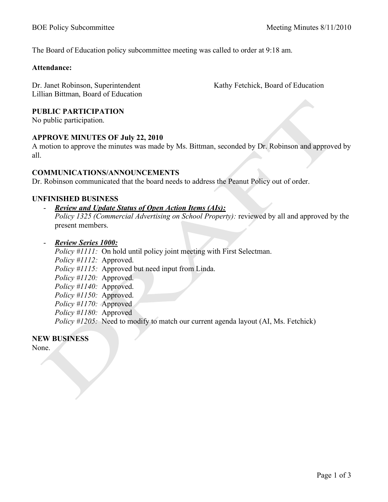The Board of Education policy subcommittee meeting was called to order at 9:18 am.

#### **Attendance:**

Dr. Janet Robinson, Superintendent Lillian Bittman, Board of Education Kathy Fetchick, Board of Education

## **PUBLIC PARTICIPATION**

No public participation.

## **APPROVE MINUTES OF July 22, 2010**

A motion to approve the minutes was made by Ms. Bittman, seconded by Dr. Robinson and approved by all.

## **COMMUNICATIONS/ANNOUNCEMENTS**

Dr. Robinson communicated that the board needs to address the Peanut Policy out of order.

## **UNFINISHED BUSINESS**

#### *Review and Update Status of Open Action Items (AIs):*

*Policy 1325 (Commercial Advertising on School Property):* reviewed by all and approved by the present members.

- *Review Series 1000:*

*Policy #1111:* On hold until policy joint meeting with First Selectman. *Policy #1112:* Approved. *Policy #1115:* Approved but need input from Linda. *Policy #1120:* Approved. *Policy #1140:* Approved. *Policy #1150:* Approved. *Policy #1170:* Approved *Policy #1180:* Approved *Policy #1205:* Need to modify to match our current agenda layout (AI, Ms. Fetchick)

## **NEW BUSINESS**

None.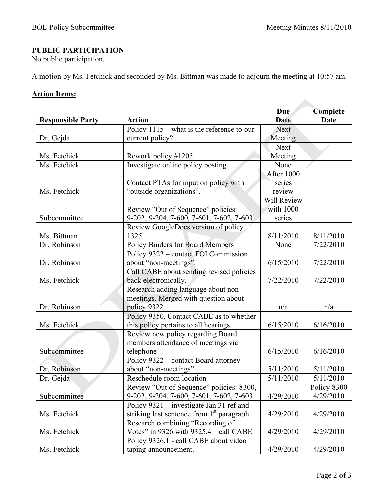# **PUBLIC PARTICIPATION**

No public participation.

A motion by Ms. Fetchick and seconded by Ms. Bittman was made to adjourn the meeting at 10:57 am.

# **Action Items:**

|                          |                                                       | Due         | Complete    |
|--------------------------|-------------------------------------------------------|-------------|-------------|
| <b>Responsible Party</b> | <b>Action</b>                                         | <b>Date</b> | <b>Date</b> |
|                          | Policy $1115$ – what is the reference to our          | <b>Next</b> |             |
| Dr. Gejda                | current policy?                                       | Meeting     |             |
|                          |                                                       | <b>Next</b> |             |
| Ms. Fetchick             | Rework policy #1205                                   | Meeting     |             |
| Ms. Fetchick             | Investigate online policy posting.                    | None        |             |
|                          |                                                       | After 1000  |             |
|                          | Contact PTAs for input on policy with                 | series      |             |
| Ms. Fetchick             | "outside organizations".                              | review      |             |
|                          |                                                       | Will Review |             |
|                          | Review "Out of Sequence" policies:                    | with 1000   |             |
| Subcommittee             | 9-202, 9-204, 7-600, 7-601, 7-602, 7-603              | series      |             |
|                          | Review GoogleDocs version of policy                   |             |             |
| Ms. Bittman              | 1325                                                  | 8/11/2010   | 8/11/2010   |
| Dr. Robinson             | Policy Binders for Board Members                      | None        | 7/22/2010   |
|                          | Policy 9322 - contact FOI Commission                  |             |             |
| Dr. Robinson             | about "non-meetings".                                 | 6/15/2010   | 7/22/2010   |
|                          | Call CABE about sending revised policies              |             |             |
| Ms. Fetchick             | back electronically.                                  | 7/22/2010   | 7/22/2010   |
|                          | Research adding language about non-                   |             |             |
|                          | meetings. Merged with question about                  |             |             |
| Dr. Robinson             | policy 9322.                                          | n/a         | n/a         |
|                          | Policy 9350, Contact CABE as to whether               |             |             |
| Ms. Fetchick             | this policy pertains to all hearings.                 | 6/15/2010   | 6/16/2010   |
|                          | Review new policy regarding Board                     |             |             |
|                          | members attendance of meetings via                    |             |             |
| Subcommittee             | telephone                                             | 6/15/2010   | 6/16/2010   |
|                          | Policy 9322 – contact Board attorney                  |             |             |
| Dr. Robinson             | about "non-meetings".                                 | 5/11/2010   | 5/11/2010   |
| Dr. Gejda                | Reschedule room location                              | 5/11/2010   | 5/11/2010   |
|                          | Review "Out of Sequence" policies: 8300,              |             | Policy 8300 |
| Subcommittee             | 9-202, 9-204, 7-600, 7-601, 7-602, 7-603              | 4/29/2010   | 4/29/2010   |
|                          | Policy 9321 – investigate Jan 31 ref and              |             |             |
| Ms. Fetchick             | striking last sentence from 1 <sup>st</sup> paragraph | 4/29/2010   | 4/29/2010   |
|                          | Research combining "Recording of                      |             |             |
| Ms. Fetchick             | Votes" in 9326 with 9325.4 - call CABE                | 4/29/2010   | 4/29/2010   |
|                          | Policy 9326.1 - call CABE about video                 |             |             |
| Ms. Fetchick             | taping announcement.                                  | 4/29/2010   | 4/29/2010   |